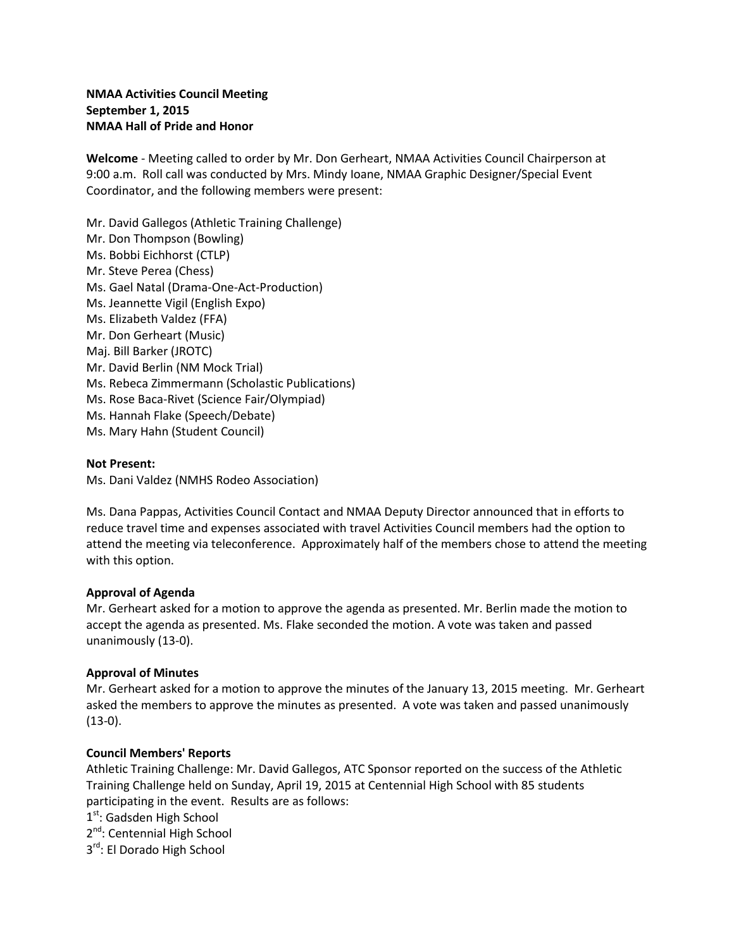# **NMAA Activities Council Meeting September 1, 2015 NMAA Hall of Pride and Honor**

**Welcome** - Meeting called to order by Mr. Don Gerheart, NMAA Activities Council Chairperson at 9:00 a.m. Roll call was conducted by Mrs. Mindy Ioane, NMAA Graphic Designer/Special Event Coordinator, and the following members were present:

Mr. David Gallegos (Athletic Training Challenge) Mr. Don Thompson (Bowling) Ms. Bobbi Eichhorst (CTLP) Mr. Steve Perea (Chess) Ms. Gael Natal (Drama-One-Act-Production) Ms. Jeannette Vigil (English Expo) Ms. Elizabeth Valdez (FFA) Mr. Don Gerheart (Music) Maj. Bill Barker (JROTC) Mr. David Berlin (NM Mock Trial) Ms. Rebeca Zimmermann (Scholastic Publications) Ms. Rose Baca-Rivet (Science Fair/Olympiad) Ms. Hannah Flake (Speech/Debate) Ms. Mary Hahn (Student Council)

## **Not Present:**

Ms. Dani Valdez (NMHS Rodeo Association)

Ms. Dana Pappas, Activities Council Contact and NMAA Deputy Director announced that in efforts to reduce travel time and expenses associated with travel Activities Council members had the option to attend the meeting via teleconference. Approximately half of the members chose to attend the meeting with this option.

#### **Approval of Agenda**

Mr. Gerheart asked for a motion to approve the agenda as presented. Mr. Berlin made the motion to accept the agenda as presented. Ms. Flake seconded the motion. A vote was taken and passed unanimously (13-0).

#### **Approval of Minutes**

Mr. Gerheart asked for a motion to approve the minutes of the January 13, 2015 meeting. Mr. Gerheart asked the members to approve the minutes as presented. A vote was taken and passed unanimously  $(13-0).$ 

#### **Council Members' Reports**

Athletic Training Challenge: Mr. David Gallegos, ATC Sponsor reported on the success of the Athletic Training Challenge held on Sunday, April 19, 2015 at Centennial High School with 85 students participating in the event. Results are as follows:

 $1<sup>st</sup>$ : Gadsden High School

2<sup>nd</sup>: Centennial High School

3rd: El Dorado High School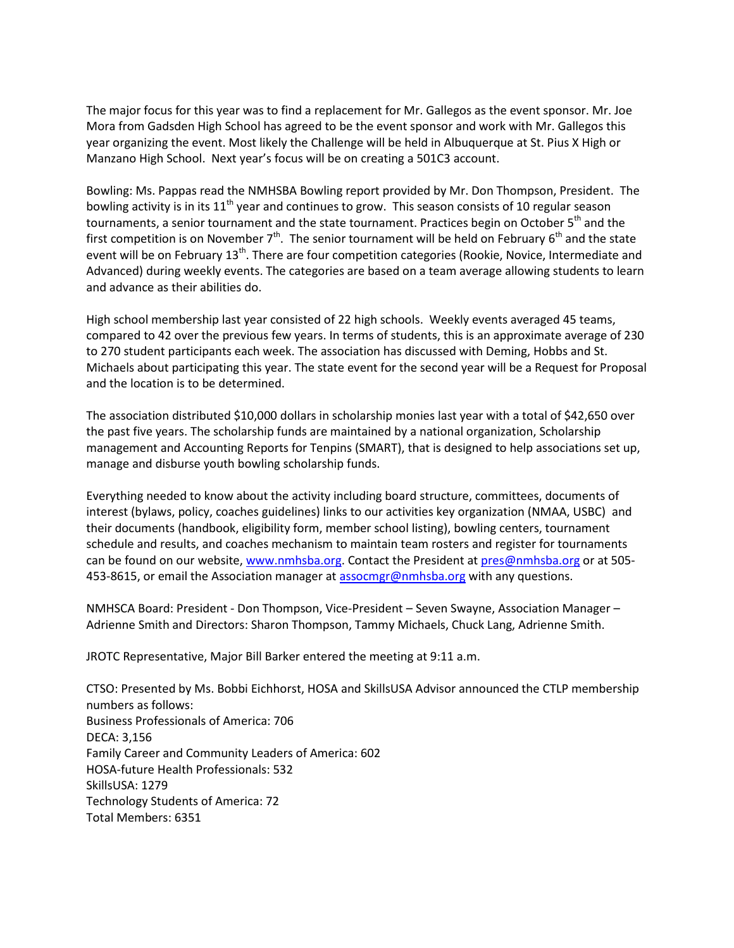The major focus for this year was to find a replacement for Mr. Gallegos as the event sponsor. Mr. Joe Mora from Gadsden High School has agreed to be the event sponsor and work with Mr. Gallegos this year organizing the event. Most likely the Challenge will be held in Albuquerque at St. Pius X High or Manzano High School. Next year's focus will be on creating a 501C3 account.

Bowling: Ms. Pappas read the NMHSBA Bowling report provided by Mr. Don Thompson, President. The bowling activity is in its  $11<sup>th</sup>$  year and continues to grow. This season consists of 10 regular season tournaments, a senior tournament and the state tournament. Practices begin on October 5<sup>th</sup> and the first competition is on November  $7<sup>th</sup>$ . The senior tournament will be held on February 6<sup>th</sup> and the state event will be on February 13<sup>th</sup>. There are four competition categories (Rookie, Novice, Intermediate and Advanced) during weekly events. The categories are based on a team average allowing students to learn and advance as their abilities do.

High school membership last year consisted of 22 high schools. Weekly events averaged 45 teams, compared to 42 over the previous few years. In terms of students, this is an approximate average of 230 to 270 student participants each week. The association has discussed with Deming, Hobbs and St. Michaels about participating this year. The state event for the second year will be a Request for Proposal and the location is to be determined.

The association distributed \$10,000 dollars in scholarship monies last year with a total of \$42,650 over the past five years. The scholarship funds are maintained by a national organization, Scholarship management and Accounting Reports for Tenpins (SMART), that is designed to help associations set up, manage and disburse youth bowling scholarship funds.

Everything needed to know about the activity including board structure, committees, documents of interest (bylaws, policy, coaches guidelines) links to our activities key organization (NMAA, USBC) and their documents (handbook, eligibility form, member school listing), bowling centers, tournament schedule and results, and coaches mechanism to maintain team rosters and register for tournaments can be found on our website, [www.nmhsba.org.](http://www.nmhsba.org/) Contact the President at [pres@nmhsba.org](mailto:pres@nmhsba.org) or at 505 453-8615, or email the Association manager at [assocmgr@nmhsba.org](mailto:assocmgr@nmhsba.org) with any questions.

NMHSCA Board: President - Don Thompson, Vice-President – Seven Swayne, Association Manager – Adrienne Smith and Directors: Sharon Thompson, Tammy Michaels, Chuck Lang, Adrienne Smith.

JROTC Representative, Major Bill Barker entered the meeting at 9:11 a.m.

CTSO: Presented by Ms. Bobbi Eichhorst, HOSA and SkillsUSA Advisor announced the CTLP membership numbers as follows: Business Professionals of America: 706 DECA: 3,156 Family Career and Community Leaders of America: 602 HOSA-future Health Professionals: 532 SkillsUSA: 1279 Technology Students of America: 72 Total Members: 6351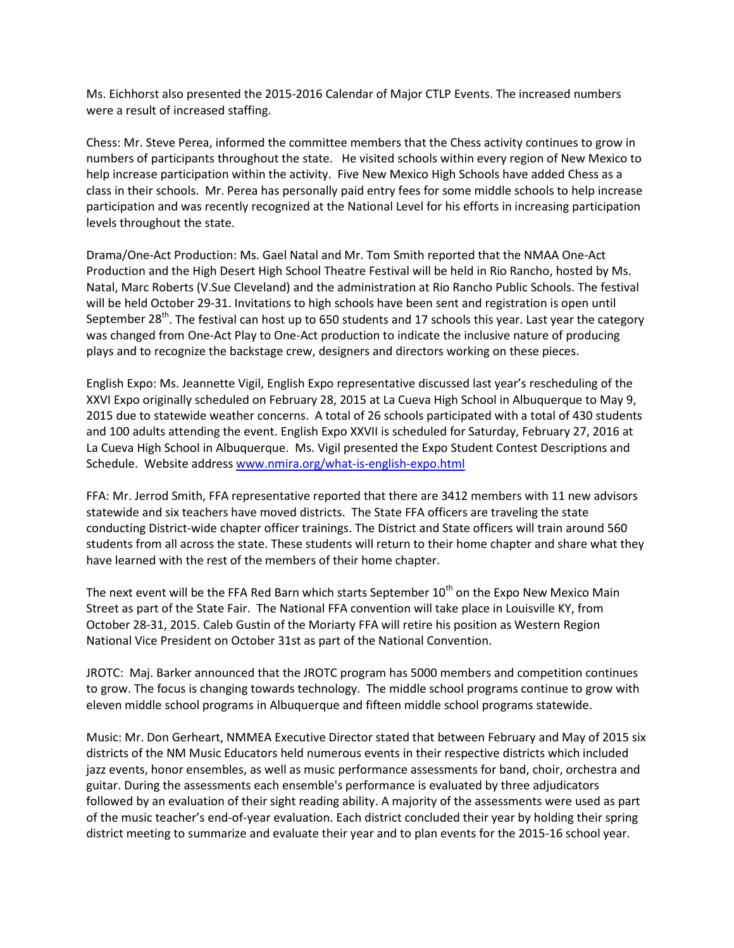Ms. Eichhorst also presented the 2015-2016 Calendar of Major CTLP Events. The increased numbers were a result of increased staffing.

Chess: Mr. Steve Perea, informed the committee members that the Chess activity continues to grow in numbers of participants throughout the state. He visited schools within every region of New Mexico to help increase participation within the activity. Five New Mexico High Schools have added Chess as a class in their schools. Mr. Perea has personally paid entry fees for some middle schools to help increase participation and was recently recognized at the National Level for his efforts in increasing participation levels throughout the state.

Drama/One-Act Production: Ms. Gael Natal and Mr. Tom Smith reported that the NMAA One-Act Production and the High Desert High School Theatre Festival will be held in Rio Rancho, hosted by Ms. Natal, Marc Roberts (V.Sue Cleveland) and the administration at Rio Rancho Public Schools. The festival will be held October 29-31. Invitations to high schools have been sent and registration is open until September 28<sup>th</sup>. The festival can host up to 650 students and 17 schools this year. Last year the category was changed from One-Act Play to One-Act production to indicate the inclusive nature of producing plays and to recognize the backstage crew, designers and directors working on these pieces.

English Expo: Ms. Jeannette Vigil, English Expo representative discussed last year's rescheduling of the XXVI Expo originally scheduled on February 28, 2015 at La Cueva High School in Albuquerque to May 9, 2015 due to statewide weather concerns. A total of 26 schools participated with a total of 430 students and 100 adults attending the event. English Expo XXVII is scheduled for Saturday, February 27, 2016 at La Cueva High School in Albuquerque. Ms. Vigil presented the Expo Student Contest Descriptions and Schedule. Website address [www.nmira.org/what-is-english-expo.html](http://www.nmira.org/what-is-english-expo.html)

FFA: Mr. Jerrod Smith, FFA representative reported that there are 3412 members with 11 new advisors statewide and six teachers have moved districts. The State FFA officers are traveling the state conducting District-wide chapter officer trainings. The District and State officers will train around 560 students from all across the state. These students will return to their home chapter and share what they have learned with the rest of the members of their home chapter.

The next event will be the FFA Red Barn which starts September  $10^{th}$  on the Expo New Mexico Main Street as part of the State Fair. The National FFA convention will take place in Louisville KY, from October 28-31, 2015. Caleb Gustin of the Moriarty FFA will retire his position as Western Region National Vice President on October 31st as part of the National Convention.

JROTC: Maj. Barker announced that the JROTC program has 5000 members and competition continues to grow. The focus is changing towards technology. The middle school programs continue to grow with eleven middle school programs in Albuquerque and fifteen middle school programs statewide.

Music: Mr. Don Gerheart, NMMEA Executive Director stated that between February and May of 2015 six districts of the NM Music Educators held numerous events in their respective districts which included jazz events, honor ensembles, as well as music performance assessments for band, choir, orchestra and guitar. During the assessments each ensemble's performance is evaluated by three adjudicators followed by an evaluation of their sight reading ability. A majority of the assessments were used as part of the music teacher's end-of-year evaluation. Each district concluded their year by holding their spring district meeting to summarize and evaluate their year and to plan events for the 2015-16 school year.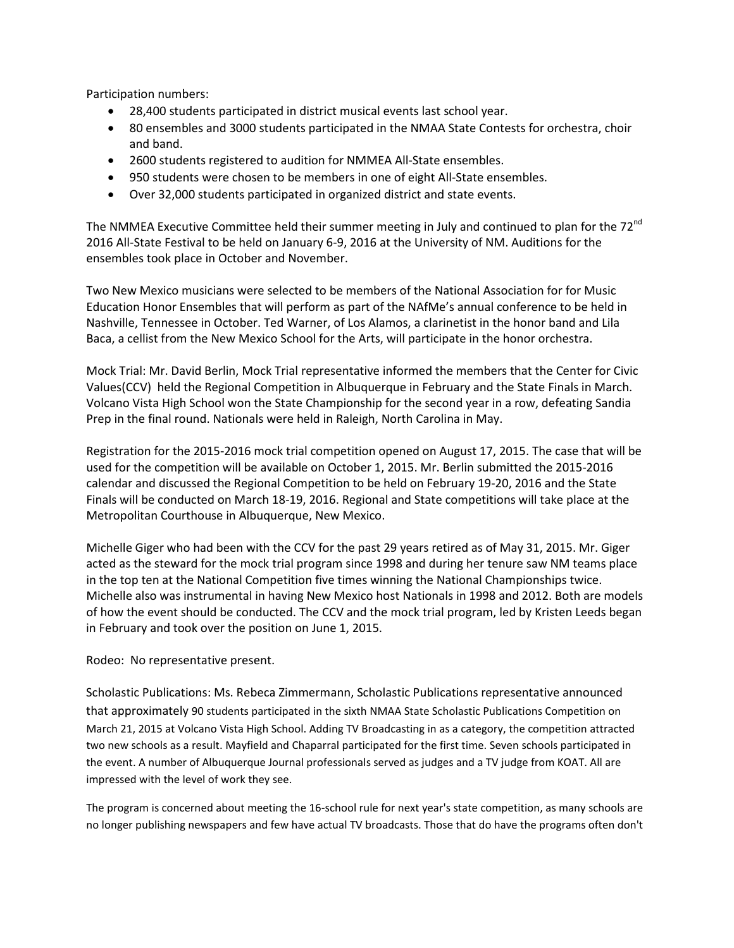Participation numbers:

- 28,400 students participated in district musical events last school year.
- 80 ensembles and 3000 students participated in the NMAA State Contests for orchestra, choir and band.
- 2600 students registered to audition for NMMEA All-State ensembles.
- 950 students were chosen to be members in one of eight All-State ensembles.
- Over 32,000 students participated in organized district and state events.

The NMMEA Executive Committee held their summer meeting in July and continued to plan for the 72<sup>nd</sup> 2016 All-State Festival to be held on January 6-9, 2016 at the University of NM. Auditions for the ensembles took place in October and November.

Two New Mexico musicians were selected to be members of the National Association for for Music Education Honor Ensembles that will perform as part of the NAfMe's annual conference to be held in Nashville, Tennessee in October. Ted Warner, of Los Alamos, a clarinetist in the honor band and Lila Baca, a cellist from the New Mexico School for the Arts, will participate in the honor orchestra.

Mock Trial: Mr. David Berlin, Mock Trial representative informed the members that the Center for Civic Values(CCV) held the Regional Competition in Albuquerque in February and the State Finals in March. Volcano Vista High School won the State Championship for the second year in a row, defeating Sandia Prep in the final round. Nationals were held in Raleigh, North Carolina in May.

Registration for the 2015-2016 mock trial competition opened on August 17, 2015. The case that will be used for the competition will be available on October 1, 2015. Mr. Berlin submitted the 2015-2016 calendar and discussed the Regional Competition to be held on February 19-20, 2016 and the State Finals will be conducted on March 18-19, 2016. Regional and State competitions will take place at the Metropolitan Courthouse in Albuquerque, New Mexico.

Michelle Giger who had been with the CCV for the past 29 years retired as of May 31, 2015. Mr. Giger acted as the steward for the mock trial program since 1998 and during her tenure saw NM teams place in the top ten at the National Competition five times winning the National Championships twice. Michelle also was instrumental in having New Mexico host Nationals in 1998 and 2012. Both are models of how the event should be conducted. The CCV and the mock trial program, led by Kristen Leeds began in February and took over the position on June 1, 2015.

#### Rodeo: No representative present.

Scholastic Publications: Ms. Rebeca Zimmermann, Scholastic Publications representative announced that approximately 90 students participated in the sixth NMAA State Scholastic Publications Competition on March 21, 2015 at Volcano Vista High School. Adding TV Broadcasting in as a category, the competition attracted two new schools as a result. Mayfield and Chaparral participated for the first time. Seven schools participated in the event. A number of Albuquerque Journal professionals served as judges and a TV judge from KOAT. All are impressed with the level of work they see.

The program is concerned about meeting the 16-school rule for next year's state competition, as many schools are no longer publishing newspapers and few have actual TV broadcasts. Those that do have the programs often don't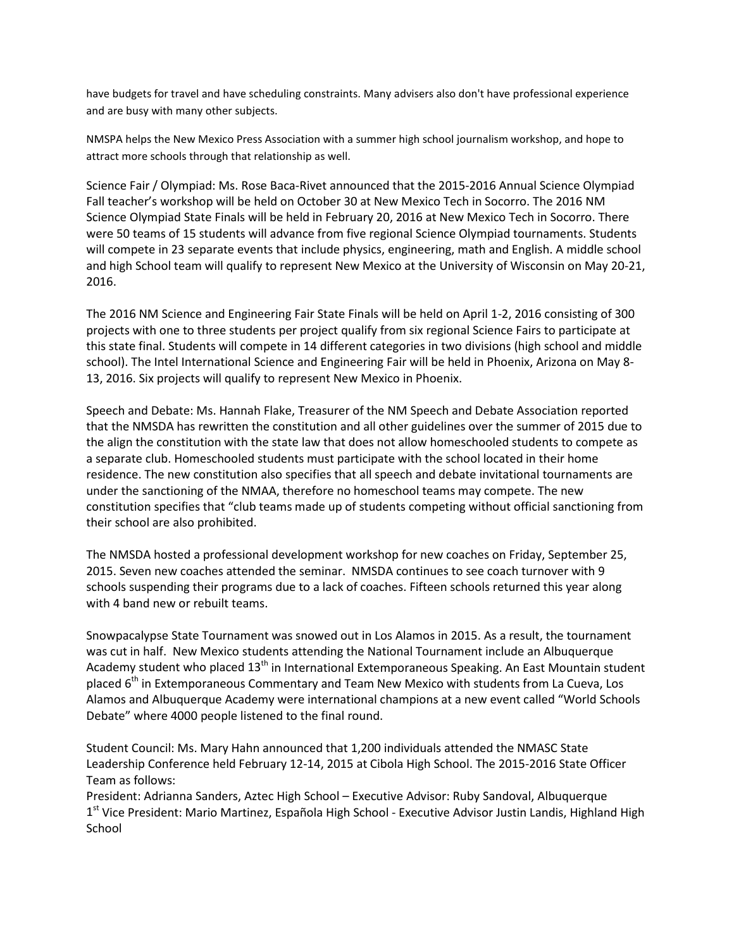have budgets for travel and have scheduling constraints. Many advisers also don't have professional experience and are busy with many other subjects.

NMSPA helps the New Mexico Press Association with a summer high school journalism workshop, and hope to attract more schools through that relationship as well.

Science Fair / Olympiad: Ms. Rose Baca-Rivet announced that the 2015-2016 Annual Science Olympiad Fall teacher's workshop will be held on October 30 at New Mexico Tech in Socorro. The 2016 NM Science Olympiad State Finals will be held in February 20, 2016 at New Mexico Tech in Socorro. There were 50 teams of 15 students will advance from five regional Science Olympiad tournaments. Students will compete in 23 separate events that include physics, engineering, math and English. A middle school and high School team will qualify to represent New Mexico at the University of Wisconsin on May 20-21, 2016.

The 2016 NM Science and Engineering Fair State Finals will be held on April 1-2, 2016 consisting of 300 projects with one to three students per project qualify from six regional Science Fairs to participate at this state final. Students will compete in 14 different categories in two divisions (high school and middle school). The Intel International Science and Engineering Fair will be held in Phoenix, Arizona on May 8- 13, 2016. Six projects will qualify to represent New Mexico in Phoenix.

Speech and Debate: Ms. Hannah Flake, Treasurer of the NM Speech and Debate Association reported that the NMSDA has rewritten the constitution and all other guidelines over the summer of 2015 due to the align the constitution with the state law that does not allow homeschooled students to compete as a separate club. Homeschooled students must participate with the school located in their home residence. The new constitution also specifies that all speech and debate invitational tournaments are under the sanctioning of the NMAA, therefore no homeschool teams may compete. The new constitution specifies that "club teams made up of students competing without official sanctioning from their school are also prohibited.

The NMSDA hosted a professional development workshop for new coaches on Friday, September 25, 2015. Seven new coaches attended the seminar. NMSDA continues to see coach turnover with 9 schools suspending their programs due to a lack of coaches. Fifteen schools returned this year along with 4 band new or rebuilt teams.

Snowpacalypse State Tournament was snowed out in Los Alamos in 2015. As a result, the tournament was cut in half. New Mexico students attending the National Tournament include an Albuquerque Academy student who placed 13<sup>th</sup> in International Extemporaneous Speaking. An East Mountain student placed  $6<sup>th</sup>$  in Extemporaneous Commentary and Team New Mexico with students from La Cueva, Los Alamos and Albuquerque Academy were international champions at a new event called "World Schools Debate" where 4000 people listened to the final round.

Student Council: Ms. Mary Hahn announced that 1,200 individuals attended the NMASC State Leadership Conference held February 12-14, 2015 at Cibola High School. The 2015-2016 State Officer Team as follows:

President: Adrianna Sanders, Aztec High School – Executive Advisor: Ruby Sandoval, Albuquerque 1<sup>st</sup> Vice President: Mario Martinez, Española High School - Executive Advisor Justin Landis, Highland High School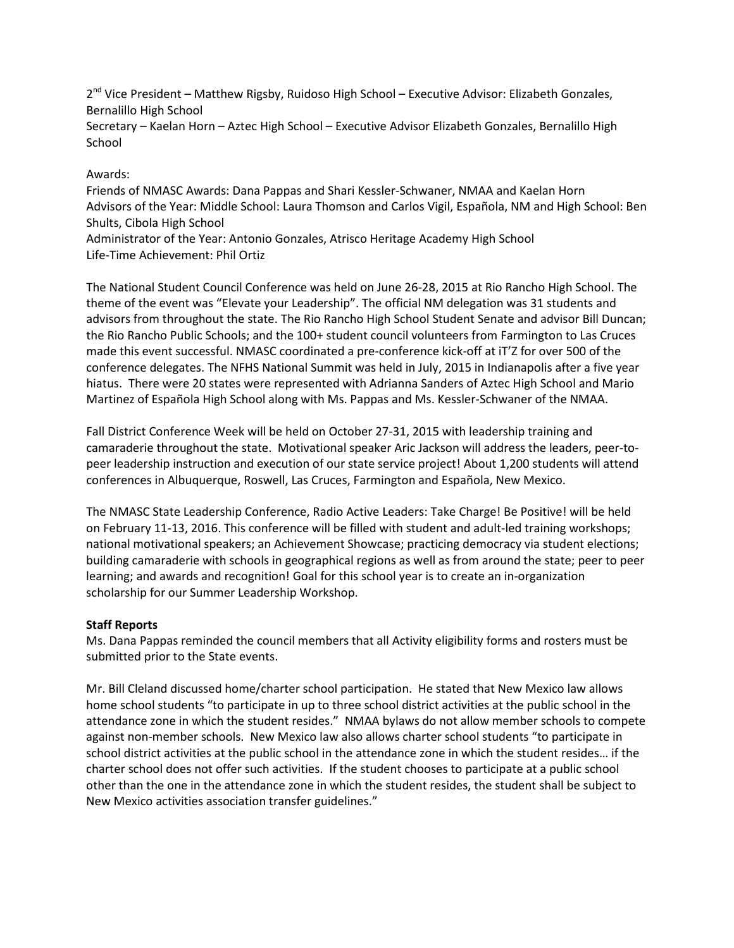2<sup>nd</sup> Vice President – Matthew Rigsby, Ruidoso High School – Executive Advisor: Elizabeth Gonzales, Bernalillo High School

Secretary – Kaelan Horn – Aztec High School – Executive Advisor Elizabeth Gonzales, Bernalillo High School

# Awards:

Friends of NMASC Awards: Dana Pappas and Shari Kessler-Schwaner, NMAA and Kaelan Horn Advisors of the Year: Middle School: Laura Thomson and Carlos Vigil, Española, NM and High School: Ben Shults, Cibola High School

Administrator of the Year: Antonio Gonzales, Atrisco Heritage Academy High School Life-Time Achievement: Phil Ortiz

The National Student Council Conference was held on June 26-28, 2015 at Rio Rancho High School. The theme of the event was "Elevate your Leadership". The official NM delegation was 31 students and advisors from throughout the state. The Rio Rancho High School Student Senate and advisor Bill Duncan; the Rio Rancho Public Schools; and the 100+ student council volunteers from Farmington to Las Cruces made this event successful. NMASC coordinated a pre-conference kick-off at iT'Z for over 500 of the conference delegates. The NFHS National Summit was held in July, 2015 in Indianapolis after a five year hiatus. There were 20 states were represented with Adrianna Sanders of Aztec High School and Mario Martinez of Española High School along with Ms. Pappas and Ms. Kessler-Schwaner of the NMAA.

Fall District Conference Week will be held on October 27-31, 2015 with leadership training and camaraderie throughout the state. Motivational speaker Aric Jackson will address the leaders, peer-topeer leadership instruction and execution of our state service project! About 1,200 students will attend conferences in Albuquerque, Roswell, Las Cruces, Farmington and Española, New Mexico.

The NMASC State Leadership Conference, Radio Active Leaders: Take Charge! Be Positive! will be held on February 11-13, 2016. This conference will be filled with student and adult-led training workshops; national motivational speakers; an Achievement Showcase; practicing democracy via student elections; building camaraderie with schools in geographical regions as well as from around the state; peer to peer learning; and awards and recognition! Goal for this school year is to create an in-organization scholarship for our Summer Leadership Workshop.

## **Staff Reports**

Ms. Dana Pappas reminded the council members that all Activity eligibility forms and rosters must be submitted prior to the State events.

Mr. Bill Cleland discussed home/charter school participation. He stated that New Mexico law allows home school students "to participate in up to three school district activities at the public school in the attendance zone in which the student resides." NMAA bylaws do not allow member schools to compete against non-member schools. New Mexico law also allows charter school students "to participate in school district activities at the public school in the attendance zone in which the student resides… if the charter school does not offer such activities. If the student chooses to participate at a public school other than the one in the attendance zone in which the student resides, the student shall be subject to New Mexico activities association transfer guidelines."